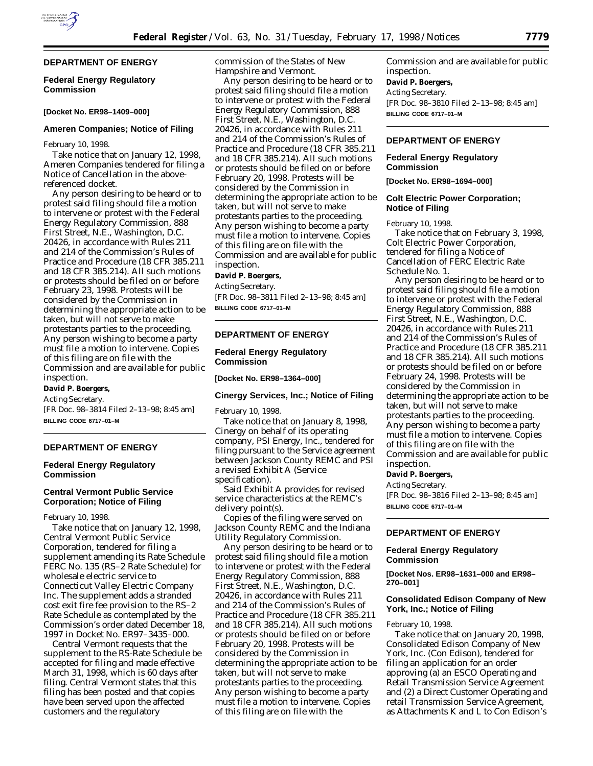## **Federal Energy Regulatory Commission**

## **[Docket No. ER98–1409–000]**

#### **Ameren Companies; Notice of Filing**

February 10, 1998.

Take notice that on January 12, 1998, Ameren Companies tendered for filing a Notice of Cancellation in the abovereferenced docket.

Any person desiring to be heard or to protest said filing should file a motion to intervene or protest with the Federal Energy Regulatory Commission, 888 First Street, N.E., Washington, D.C. 20426, in accordance with Rules 211 and 214 of the Commission's Rules of Practice and Procedure (18 CFR 385.211 and 18 CFR 385.214). All such motions or protests should be filed on or before February 23, 1998. Protests will be considered by the Commission in determining the appropriate action to be taken, but will not serve to make protestants parties to the proceeding. Any person wishing to become a party must file a motion to intervene. Copies of this filing are on file with the Commission and are available for public inspection.

# **David P. Boergers,**

*Acting Secretary.*

[FR Doc. 98–3814 Filed 2–13–98; 8:45 am] **BILLING CODE 6717–01–M**

## **DEPARTMENT OF ENERGY**

## **Federal Energy Regulatory Commission**

## **Central Vermont Public Service Corporation; Notice of Filing**

February 10, 1998.

Take notice that on January 12, 1998, Central Vermont Public Service Corporation, tendered for filing a supplement amending its Rate Schedule FERC No. 135 (RS–2 Rate Schedule) for wholesale electric service to Connecticut Valley Electric Company Inc. The supplement adds a stranded cost exit fire fee provision to the RS–2 Rate Schedule as contemplated by the Commission's order dated December 18, 1997 in Docket No. ER97–3435–000.

Central Vermont requests that the supplement to the RS-Rate Schedule be accepted for filing and made effective March 31, 1998, which is 60 days after filing. Central Vermont states that this filing has been posted and that copies have been served upon the affected customers and the regulatory

commission of the States of New Hampshire and Vermont.

Any person desiring to be heard or to protest said filing should file a motion to intervene or protest with the Federal Energy Regulatory Commission, 888 First Street, N.E., Washington, D.C. 20426, in accordance with Rules 211 and 214 of the Commission's Rules of Practice and Procedure (18 CFR 385.211 and 18 CFR 385.214). All such motions or protests should be filed on or before February 20, 1998. Protests will be considered by the Commission in determining the appropriate action to be taken, but will not serve to make protestants parties to the proceeding. Any person wishing to become a party must file a motion to intervene. Copies of this filing are on file with the Commission and are available for public inspection.

## **David P. Boergers,**

*Acting Secretary.* [FR Doc. 98–3811 Filed 2–13–98; 8:45 am] **BILLING CODE 6717–01–M**

## **DEPARTMENT OF ENERGY**

## **Federal Energy Regulatory Commission**

**[Docket No. ER98–1364–000]**

#### **Cinergy Services, Inc.; Notice of Filing**

February 10, 1998.

Take notice that on January 8, 1998, Cinergy on behalf of its operating company, PSI Energy, Inc., tendered for filing pursuant to the Service agreement between Jackson County REMC and PSI a revised Exhibit A (Service specification).

Said Exhibit A provides for revised service characteristics at the REMC's delivery point(s).

Copies of the filing were served on Jackson County REMC and the Indiana Utility Regulatory Commission.

Any person desiring to be heard or to protest said filing should file a motion to intervene or protest with the Federal Energy Regulatory Commission, 888 First Street, N.E., Washington, D.C. 20426, in accordance with Rules 211 and 214 of the Commission's Rules of Practice and Procedure (18 CFR 385.211 and 18 CFR 385.214). All such motions or protests should be filed on or before February 20, 1998. Protests will be considered by the Commission in determining the appropriate action to be taken, but will not serve to make protestants parties to the proceeding. Any person wishing to become a party must file a motion to intervene. Copies of this filing are on file with the

Commission and are available for public inspection.

## **David P. Boergers,**

*Acting Secretary.* [FR Doc. 98–3810 Filed 2–13–98; 8:45 am] **BILLING CODE 6717–01–M**

## **DEPARTMENT OF ENERGY**

## **Federal Energy Regulatory Commission**

**[Docket No. ER98–1694–000]**

## **Colt Electric Power Corporation; Notice of Filing**

February 10, 1998.

Take notice that on February 3, 1998, Colt Electric Power Corporation, tendered for filing a Notice of Cancellation of FERC Electric Rate Schedule No. 1.

Any person desiring to be heard or to protest said filing should file a motion to intervene or protest with the Federal Energy Regulatory Commission, 888 First Street, N.E., Washington, D.C. 20426, in accordance with Rules 211 and 214 of the Commission's Rules of Practice and Procedure (18 CFR 385.211 and 18 CFR 385.214). All such motions or protests should be filed on or before February 24, 1998. Protests will be considered by the Commission in determining the appropriate action to be taken, but will not serve to make protestants parties to the proceeding. Any person wishing to become a party must file a motion to intervene. Copies of this filing are on file with the Commission and are available for public inspection.

#### **David P. Boergers,**

*Acting Secretary.* [FR Doc. 98–3816 Filed 2–13–98; 8:45 am] **BILLING CODE 6717–01–M**

## **DEPARTMENT OF ENERGY**

#### **Federal Energy Regulatory Commission**

**[Docket Nos. ER98–1631–000 and ER98– 270–001]**

## **Consolidated Edison Company of New York, Inc.; Notice of Filing**

February 10, 1998.

Take notice that on January 20, 1998, Consolidated Edison Company of New York, Inc. (Con Edison), tendered for filing an application for an order approving (a) an ESCO Operating and Retail Transmission Service Agreement and (2) a Direct Customer Operating and retail Transmission Service Agreement, as Attachments K and L to Con Edison's